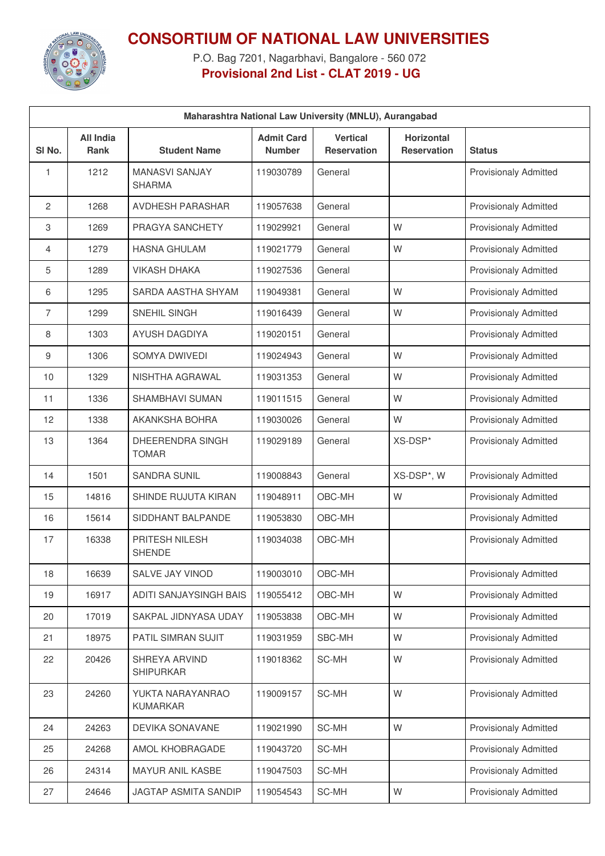

## **CONSORTIUM OF NATIONAL LAW UNIVERSITIES**

P.O. Bag 7201, Nagarbhavi, Bangalore - 560 072 **Provisional 2nd List - CLAT 2019 - UG**

| Maharashtra National Law University (MNLU), Aurangabad |                          |                                        |                                    |                                       |                                  |                              |  |
|--------------------------------------------------------|--------------------------|----------------------------------------|------------------------------------|---------------------------------------|----------------------------------|------------------------------|--|
| SI <sub>No.</sub>                                      | All India<br><b>Rank</b> | <b>Student Name</b>                    | <b>Admit Card</b><br><b>Number</b> | <b>Vertical</b><br><b>Reservation</b> | Horizontal<br><b>Reservation</b> | <b>Status</b>                |  |
| 1                                                      | 1212                     | <b>MANASVI SANJAY</b><br><b>SHARMA</b> | 119030789                          | General                               |                                  | <b>Provisionaly Admitted</b> |  |
| 2                                                      | 1268                     | <b>AVDHESH PARASHAR</b>                | 119057638                          | General                               |                                  | <b>Provisionaly Admitted</b> |  |
| 3                                                      | 1269                     | PRAGYA SANCHETY                        | 119029921                          | General                               | W                                | <b>Provisionaly Admitted</b> |  |
| 4                                                      | 1279                     | <b>HASNA GHULAM</b>                    | 119021779                          | General                               | W                                | <b>Provisionaly Admitted</b> |  |
| 5                                                      | 1289                     | <b>VIKASH DHAKA</b>                    | 119027536                          | General                               |                                  | <b>Provisionaly Admitted</b> |  |
| 6                                                      | 1295                     | SARDA AASTHA SHYAM                     | 119049381                          | General                               | W                                | <b>Provisionaly Admitted</b> |  |
| 7                                                      | 1299                     | SNEHIL SINGH                           | 119016439                          | General                               | W                                | <b>Provisionaly Admitted</b> |  |
| 8                                                      | 1303                     | <b>AYUSH DAGDIYA</b>                   | 119020151                          | General                               |                                  | <b>Provisionaly Admitted</b> |  |
| 9                                                      | 1306                     | SOMYA DWIVEDI                          | 119024943                          | General                               | W                                | <b>Provisionaly Admitted</b> |  |
| 10                                                     | 1329                     | NISHTHA AGRAWAL                        | 119031353                          | General                               | W                                | <b>Provisionaly Admitted</b> |  |
| 11                                                     | 1336                     | <b>SHAMBHAVI SUMAN</b>                 | 119011515                          | General                               | W                                | <b>Provisionaly Admitted</b> |  |
| 12                                                     | 1338                     | AKANKSHA BOHRA                         | 119030026                          | General                               | W                                | <b>Provisionaly Admitted</b> |  |
| 13                                                     | 1364                     | DHEERENDRA SINGH<br><b>TOMAR</b>       | 119029189                          | General                               | XS-DSP*                          | <b>Provisionaly Admitted</b> |  |
| 14                                                     | 1501                     | <b>SANDRA SUNIL</b>                    | 119008843                          | General                               | XS-DSP*, W                       | <b>Provisionaly Admitted</b> |  |
| 15                                                     | 14816                    | SHINDE RUJUTA KIRAN                    | 119048911                          | OBC-MH                                | W                                | <b>Provisionaly Admitted</b> |  |
| 16                                                     | 15614                    | SIDDHANT BALPANDE                      | 119053830                          | OBC-MH                                |                                  | <b>Provisionaly Admitted</b> |  |
| 17                                                     | 16338                    | PRITESH NILESH<br><b>SHENDE</b>        | 119034038                          | OBC-MH                                |                                  | <b>Provisionaly Admitted</b> |  |
| 18                                                     | 16639                    | SALVE JAY VINOD                        | 119003010                          | OBC-MH                                |                                  | <b>Provisionaly Admitted</b> |  |
| 19                                                     | 16917                    | ADITI SANJAYSINGH BAIS                 | 119055412                          | OBC-MH                                | W                                | <b>Provisionaly Admitted</b> |  |
| 20                                                     | 17019                    | SAKPAL JIDNYASA UDAY                   | 119053838                          | OBC-MH                                | W                                | <b>Provisionaly Admitted</b> |  |
| 21                                                     | 18975                    | PATIL SIMRAN SUJIT                     | 119031959                          | SBC-MH                                | W                                | <b>Provisionaly Admitted</b> |  |
| 22                                                     | 20426                    | SHREYA ARVIND<br><b>SHIPURKAR</b>      | 119018362                          | SC-MH                                 | W                                | <b>Provisionaly Admitted</b> |  |
| 23                                                     | 24260                    | YUKTA NARAYANRAO<br><b>KUMARKAR</b>    | 119009157                          | SC-MH                                 | W                                | Provisionaly Admitted        |  |
| 24                                                     | 24263                    | DEVIKA SONAVANE                        | 119021990                          | SC-MH                                 | W                                | Provisionaly Admitted        |  |
| 25                                                     | 24268                    | AMOL KHOBRAGADE                        | 119043720                          | SC-MH                                 |                                  | Provisionaly Admitted        |  |
| 26                                                     | 24314                    | MAYUR ANIL KASBE                       | 119047503                          | SC-MH                                 |                                  | Provisionaly Admitted        |  |
| 27                                                     | 24646                    | JAGTAP ASMITA SANDIP                   | 119054543                          | SC-MH                                 | W                                | Provisionaly Admitted        |  |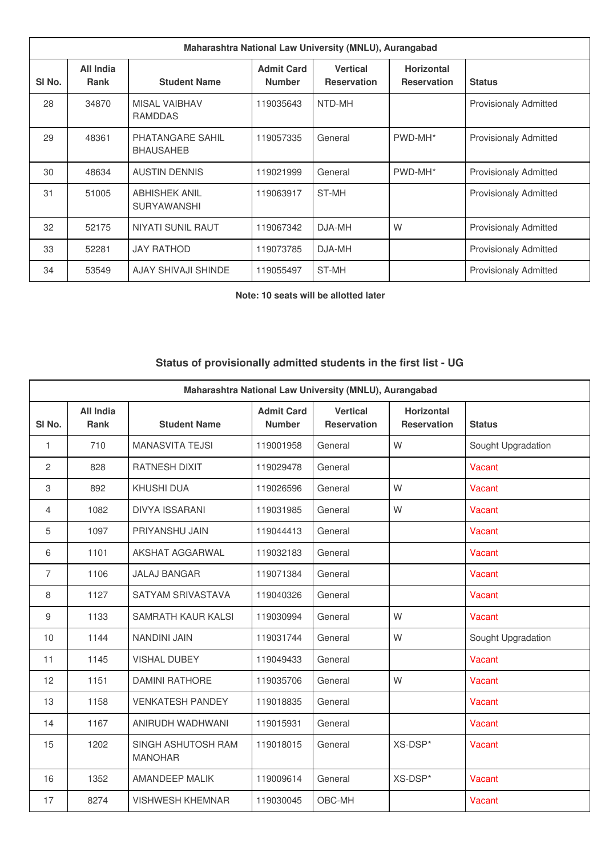| Maharashtra National Law University (MNLU), Aurangabad |                   |                                            |                                    |                                       |                                         |                              |
|--------------------------------------------------------|-------------------|--------------------------------------------|------------------------------------|---------------------------------------|-----------------------------------------|------------------------------|
| SI No.                                                 | All India<br>Rank | <b>Student Name</b>                        | <b>Admit Card</b><br><b>Number</b> | <b>Vertical</b><br><b>Reservation</b> | <b>Horizontal</b><br><b>Reservation</b> | <b>Status</b>                |
| 28                                                     | 34870             | <b>MISAL VAIBHAV</b><br><b>RAMDDAS</b>     | 119035643                          | NTD-MH                                |                                         | <b>Provisionaly Admitted</b> |
| 29                                                     | 48361             | PHATANGARE SAHIL<br><b>BHAUSAHEB</b>       | 119057335                          | General                               | PWD-MH*                                 | <b>Provisionaly Admitted</b> |
| 30                                                     | 48634             | <b>AUSTIN DENNIS</b>                       | 119021999                          | General                               | PWD-MH*                                 | <b>Provisionaly Admitted</b> |
| 31                                                     | 51005             | <b>ABHISHEK ANIL</b><br><b>SURYAWANSHI</b> | 119063917                          | ST-MH                                 |                                         | <b>Provisionaly Admitted</b> |
| 32                                                     | 52175             | <b>NIYATI SUNIL RAUT</b>                   | 119067342                          | DJA-MH                                | W                                       | <b>Provisionaly Admitted</b> |
| 33                                                     | 52281             | <b>JAY RATHOD</b>                          | 119073785                          | DJA-MH                                |                                         | <b>Provisionaly Admitted</b> |
| 34                                                     | 53549             | AJAY SHIVAJI SHINDE                        | 119055497                          | ST-MH                                 |                                         | <b>Provisionaly Admitted</b> |

**Note: 10 seats will be allotted later**

## **Status of provisionally admitted students in the first list - UG**

| Maharashtra National Law University (MNLU), Aurangabad |                          |                                      |                                    |                                       |                                         |                    |
|--------------------------------------------------------|--------------------------|--------------------------------------|------------------------------------|---------------------------------------|-----------------------------------------|--------------------|
| SI <sub>No.</sub>                                      | <b>All India</b><br>Rank | <b>Student Name</b>                  | <b>Admit Card</b><br><b>Number</b> | <b>Vertical</b><br><b>Reservation</b> | <b>Horizontal</b><br><b>Reservation</b> | <b>Status</b>      |
| $\mathbf{1}$                                           | 710                      | <b>MANASVITA TEJSI</b>               | 119001958                          | General                               | W                                       | Sought Upgradation |
| 2                                                      | 828                      | <b>RATNESH DIXIT</b>                 | 119029478                          | General                               |                                         | Vacant             |
| 3                                                      | 892                      | <b>KHUSHI DUA</b>                    | 119026596                          | General                               | W                                       | Vacant             |
| 4                                                      | 1082                     | <b>DIVYA ISSARANI</b>                | 119031985                          | General                               | W                                       | Vacant             |
| 5                                                      | 1097                     | PRIYANSHU JAIN                       | 119044413                          | General                               |                                         | Vacant             |
| 6                                                      | 1101                     | AKSHAT AGGARWAL                      | 119032183                          | General                               |                                         | Vacant             |
| $\overline{7}$                                         | 1106                     | <b>JALAJ BANGAR</b>                  | 119071384                          | General                               |                                         | <b>Vacant</b>      |
| 8                                                      | 1127                     | SATYAM SRIVASTAVA                    | 119040326                          | General                               |                                         | Vacant             |
| 9                                                      | 1133                     | SAMRATH KAUR KALSI                   | 119030994                          | General                               | W                                       | Vacant             |
| 10                                                     | 1144                     | <b>NANDINI JAIN</b>                  | 119031744                          | General                               | W                                       | Sought Upgradation |
| 11                                                     | 1145                     | <b>VISHAL DUBEY</b>                  | 119049433                          | General                               |                                         | Vacant             |
| 12                                                     | 1151                     | <b>DAMINI RATHORE</b>                | 119035706                          | General                               | W                                       | Vacant             |
| 13                                                     | 1158                     | <b>VENKATESH PANDEY</b>              | 119018835                          | General                               |                                         | Vacant             |
| 14                                                     | 1167                     | ANIRUDH WADHWANI                     | 119015931                          | General                               |                                         | Vacant             |
| 15                                                     | 1202                     | SINGH ASHUTOSH RAM<br><b>MANOHAR</b> | 119018015                          | General                               | XS-DSP*                                 | Vacant             |
| 16                                                     | 1352                     | <b>AMANDEEP MALIK</b>                | 119009614                          | General                               | XS-DSP*                                 | Vacant             |
| 17                                                     | 8274                     | <b>VISHWESH KHEMNAR</b>              | 119030045                          | OBC-MH                                |                                         | Vacant             |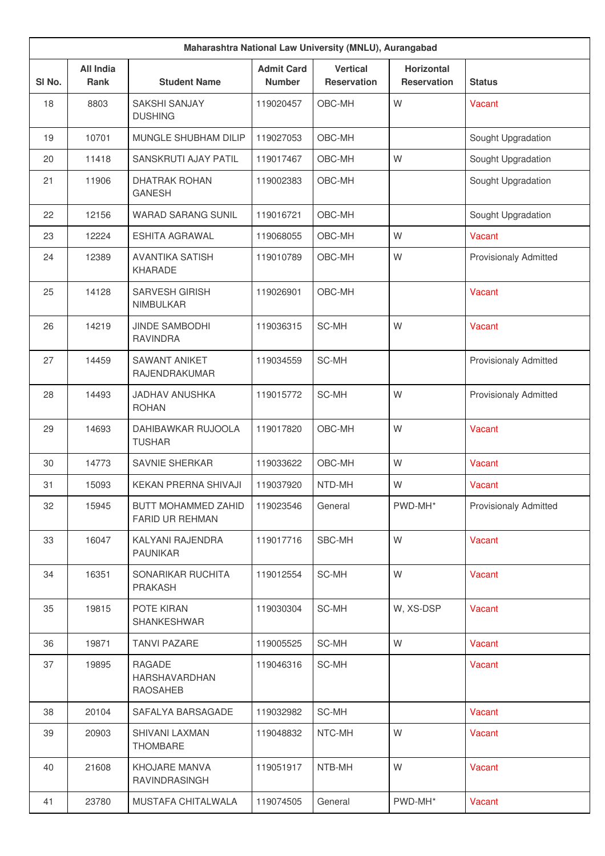| Maharashtra National Law University (MNLU), Aurangabad |                                 |                                               |                                    |                                       |                                         |                              |
|--------------------------------------------------------|---------------------------------|-----------------------------------------------|------------------------------------|---------------------------------------|-----------------------------------------|------------------------------|
| SI No.                                                 | <b>All India</b><br><b>Rank</b> | <b>Student Name</b>                           | <b>Admit Card</b><br><b>Number</b> | <b>Vertical</b><br><b>Reservation</b> | <b>Horizontal</b><br><b>Reservation</b> | <b>Status</b>                |
| 18                                                     | 8803                            | <b>SAKSHI SANJAY</b><br><b>DUSHING</b>        | 119020457                          | OBC-MH                                | W                                       | Vacant                       |
| 19                                                     | 10701                           | MUNGLE SHUBHAM DILIP                          | 119027053                          | OBC-MH                                |                                         | Sought Upgradation           |
| 20                                                     | 11418                           | SANSKRUTI AJAY PATIL                          | 119017467                          | OBC-MH                                | W                                       | Sought Upgradation           |
| 21                                                     | 11906                           | <b>DHATRAK ROHAN</b><br><b>GANESH</b>         | 119002383                          | OBC-MH                                |                                         | Sought Upgradation           |
| 22                                                     | 12156                           | <b>WARAD SARANG SUNIL</b>                     | 119016721                          | OBC-MH                                |                                         | Sought Upgradation           |
| 23                                                     | 12224                           | <b>ESHITA AGRAWAL</b>                         | 119068055                          | OBC-MH                                | W                                       | Vacant                       |
| 24                                                     | 12389                           | <b>AVANTIKA SATISH</b><br>KHARADE             | 119010789                          | OBC-MH                                | W                                       | <b>Provisionaly Admitted</b> |
| 25                                                     | 14128                           | <b>SARVESH GIRISH</b><br><b>NIMBULKAR</b>     | 119026901                          | OBC-MH                                |                                         | Vacant                       |
| 26                                                     | 14219                           | <b>JINDE SAMBODHI</b><br><b>RAVINDRA</b>      | 119036315                          | SC-MH                                 | W                                       | Vacant                       |
| 27                                                     | 14459                           | <b>SAWANT ANIKET</b><br>RAJENDRAKUMAR         | 119034559                          | SC-MH                                 |                                         | <b>Provisionaly Admitted</b> |
| 28                                                     | 14493                           | <b>JADHAV ANUSHKA</b><br><b>ROHAN</b>         | 119015772                          | SC-MH                                 | W                                       | <b>Provisionaly Admitted</b> |
| 29                                                     | 14693                           | DAHIBAWKAR RUJOOLA<br><b>TUSHAR</b>           | 119017820                          | OBC-MH                                | W                                       | Vacant                       |
| 30                                                     | 14773                           | SAVNIE SHERKAR                                | 119033622                          | OBC-MH                                | W                                       | Vacant                       |
| 31                                                     | 15093                           | KEKAN PRERNA SHIVAJI                          | 119037920                          | NTD-MH                                | W                                       | Vacant                       |
| 32                                                     | 15945                           | BUTT MOHAMMED ZAHID<br><b>FARID UR REHMAN</b> | 119023546                          | General                               | PWD-MH*                                 | <b>Provisionaly Admitted</b> |
| 33                                                     | 16047                           | KALYANI RAJENDRA<br><b>PAUNIKAR</b>           | 119017716                          | SBC-MH                                | W                                       | Vacant                       |
| 34                                                     | 16351                           | SONARIKAR RUCHITA<br>PRAKASH                  | 119012554                          | SC-MH                                 | W                                       | Vacant                       |
| 35                                                     | 19815                           | POTE KIRAN<br><b>SHANKESHWAR</b>              | 119030304                          | SC-MH                                 | W, XS-DSP                               | Vacant                       |
| 36                                                     | 19871                           | <b>TANVI PAZARE</b>                           | 119005525                          | SC-MH                                 | W                                       | Vacant                       |
| 37                                                     | 19895                           | RAGADE<br>HARSHAVARDHAN<br><b>RAOSAHEB</b>    | 119046316                          | SC-MH                                 |                                         | Vacant                       |
| 38                                                     | 20104                           | SAFALYA BARSAGADE                             | 119032982                          | SC-MH                                 |                                         | Vacant                       |
| 39                                                     | 20903                           | SHIVANI LAXMAN<br>THOMBARE                    | 119048832                          | NTC-MH                                | W                                       | Vacant                       |
| 40                                                     | 21608                           | KHOJARE MANVA<br>RAVINDRASINGH                | 119051917                          | NTB-MH                                | W                                       | Vacant                       |
| 41                                                     | 23780                           | MUSTAFA CHITALWALA                            | 119074505                          | General                               | PWD-MH*                                 | Vacant                       |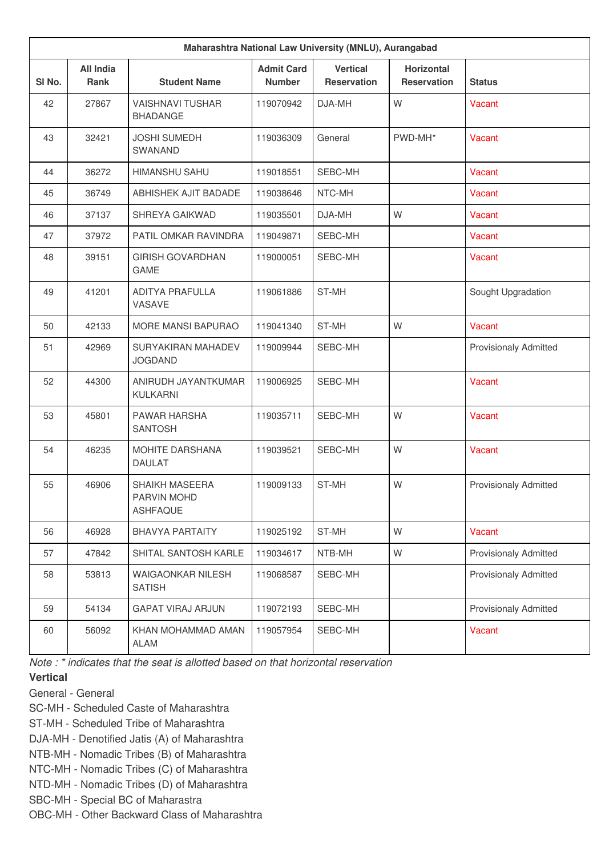| Maharashtra National Law University (MNLU), Aurangabad |                                 |                                                         |                                    |                                       |                                         |                              |
|--------------------------------------------------------|---------------------------------|---------------------------------------------------------|------------------------------------|---------------------------------------|-----------------------------------------|------------------------------|
| SI <sub>No.</sub>                                      | <b>All India</b><br><b>Rank</b> | <b>Student Name</b>                                     | <b>Admit Card</b><br><b>Number</b> | <b>Vertical</b><br><b>Reservation</b> | <b>Horizontal</b><br><b>Reservation</b> | <b>Status</b>                |
| 42                                                     | 27867                           | <b>VAISHNAVI TUSHAR</b><br><b>BHADANGE</b>              | 119070942                          | DJA-MH                                | W                                       | Vacant                       |
| 43                                                     | 32421                           | <b>JOSHI SUMEDH</b><br><b>SWANAND</b>                   | 119036309                          | General                               | PWD-MH*                                 | Vacant                       |
| 44                                                     | 36272                           | <b>HIMANSHU SAHU</b>                                    | 119018551                          | SEBC-MH                               |                                         | Vacant                       |
| 45                                                     | 36749                           | ABHISHEK AJIT BADADE                                    | 119038646                          | NTC-MH                                |                                         | Vacant                       |
| 46                                                     | 37137                           | SHREYA GAIKWAD                                          | 119035501                          | DJA-MH                                | W                                       | Vacant                       |
| 47                                                     | 37972                           | PATIL OMKAR RAVINDRA                                    | 119049871                          | SEBC-MH                               |                                         | Vacant                       |
| 48                                                     | 39151                           | <b>GIRISH GOVARDHAN</b><br><b>GAME</b>                  | 119000051                          | SEBC-MH                               |                                         | Vacant                       |
| 49                                                     | 41201                           | <b>ADITYA PRAFULLA</b><br>VASAVE                        | 119061886                          | ST-MH                                 |                                         | Sought Upgradation           |
| 50                                                     | 42133                           | MORE MANSI BAPURAO                                      | 119041340                          | ST-MH                                 | W                                       | Vacant                       |
| 51                                                     | 42969                           | SURYAKIRAN MAHADEV<br><b>JOGDAND</b>                    | 119009944                          | SEBC-MH                               |                                         | <b>Provisionaly Admitted</b> |
| 52                                                     | 44300                           | ANIRUDH JAYANTKUMAR<br>KULKARNI                         | 119006925                          | SEBC-MH                               |                                         | Vacant                       |
| 53                                                     | 45801                           | PAWAR HARSHA<br><b>SANTOSH</b>                          | 119035711                          | SEBC-MH                               | W                                       | Vacant                       |
| 54                                                     | 46235                           | MOHITE DARSHANA<br><b>DAULAT</b>                        | 119039521                          | SEBC-MH                               | W                                       | <b>Vacant</b>                |
| 55                                                     | 46906                           | <b>SHAIKH MASEERA</b><br>PARVIN MOHD<br><b>ASHFAQUE</b> | 119009133                          | ST-MH                                 | W                                       | <b>Provisionaly Admitted</b> |
| 56                                                     | 46928                           | <b>BHAVYA PARTAITY</b>                                  | 119025192                          | ST-MH                                 | W                                       | Vacant                       |
| 57                                                     | 47842                           | SHITAL SANTOSH KARLE                                    | 119034617                          | NTB-MH                                | W                                       | <b>Provisionaly Admitted</b> |
| 58                                                     | 53813                           | <b>WAIGAONKAR NILESH</b><br><b>SATISH</b>               | 119068587                          | SEBC-MH                               |                                         | <b>Provisionaly Admitted</b> |
| 59                                                     | 54134                           | <b>GAPAT VIRAJ ARJUN</b>                                | 119072193                          | SEBC-MH                               |                                         | <b>Provisionaly Admitted</b> |
| 60                                                     | 56092                           | KHAN MOHAMMAD AMAN<br><b>ALAM</b>                       | 119057954                          | SEBC-MH                               |                                         | Vacant                       |

*Note : \* indicates that the seat is allotted based on that horizontal reservation*

## **Vertical**

- General General
- SC-MH Scheduled Caste of Maharashtra
- ST-MH Scheduled Tribe of Maharashtra
- DJA-MH Denotified Jatis (A) of Maharashtra
- NTB-MH Nomadic Tribes (B) of Maharashtra
- NTC-MH Nomadic Tribes (C) of Maharashtra
- NTD-MH Nomadic Tribes (D) of Maharashtra
- SBC-MH Special BC of Maharastra
- OBC-MH Other Backward Class of Maharashtra